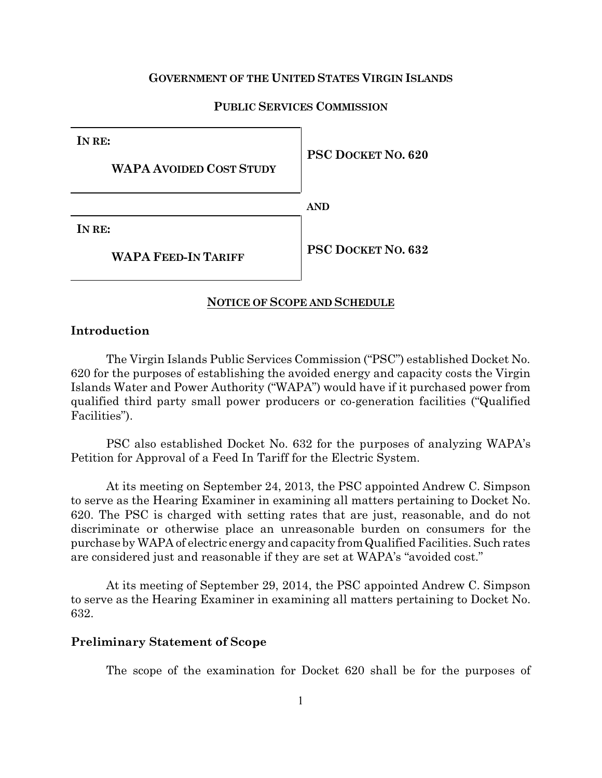### **GOVERNMENT OF THE UNITED STATES VIRGIN ISLANDS**

## **PUBLIC SERVICES COMMISSION**

**IN RE:**

**WAPA AVOIDED COST STUDY**

**PSC DOCKET NO. 620**

**AND**

**IN RE:**

**WAPA FEED-IN TARIFF**

**PSC DOCKET NO. 632**

### **NOTICE OF SCOPE AND SCHEDULE**

# **Introduction**

The Virgin Islands Public Services Commission ("PSC") established Docket No. 620 for the purposes of establishing the avoided energy and capacity costs the Virgin Islands Water and Power Authority ("WAPA") would have if it purchased power from qualified third party small power producers or co-generation facilities ("Qualified Facilities").

PSC also established Docket No. 632 for the purposes of analyzing WAPA's Petition for Approval of a Feed In Tariff for the Electric System.

At its meeting on September 24, 2013, the PSC appointed Andrew C. Simpson to serve as the Hearing Examiner in examining all matters pertaining to Docket No. 620. The PSC is charged with setting rates that are just, reasonable, and do not discriminate or otherwise place an unreasonable burden on consumers for the purchase by WAPA of electric energy and capacity fromQualifiedFacilities. Such rates are considered just and reasonable if they are set at WAPA's "avoided cost."

At its meeting of September 29, 2014, the PSC appointed Andrew C. Simpson to serve as the Hearing Examiner in examining all matters pertaining to Docket No. 632.

#### **Preliminary Statement of Scope**

The scope of the examination for Docket 620 shall be for the purposes of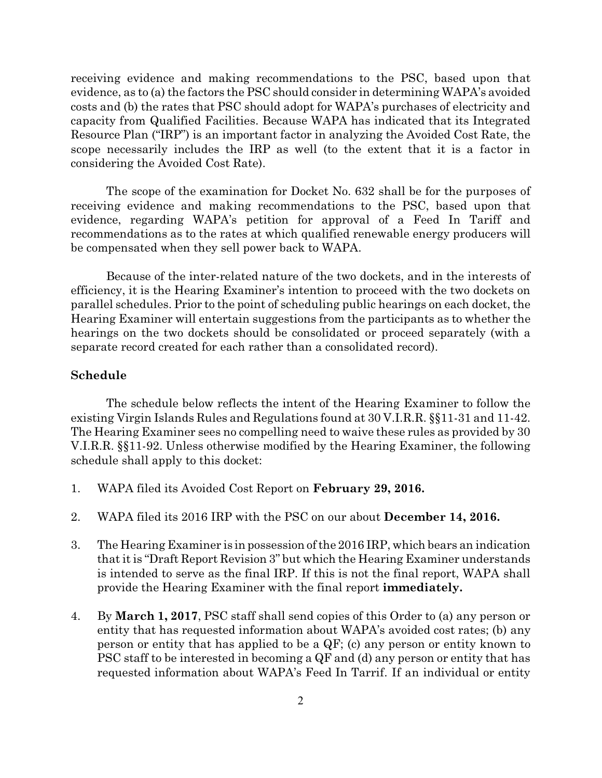receiving evidence and making recommendations to the PSC, based upon that evidence, as to (a) the factors the PSC should consider in determining WAPA's avoided costs and (b) the rates that PSC should adopt for WAPA's purchases of electricity and capacity from Qualified Facilities. Because WAPA has indicated that its Integrated Resource Plan ("IRP") is an important factor in analyzing the Avoided Cost Rate, the scope necessarily includes the IRP as well (to the extent that it is a factor in considering the Avoided Cost Rate).

The scope of the examination for Docket No. 632 shall be for the purposes of receiving evidence and making recommendations to the PSC, based upon that evidence, regarding WAPA's petition for approval of a Feed In Tariff and recommendations as to the rates at which qualified renewable energy producers will be compensated when they sell power back to WAPA.

Because of the inter-related nature of the two dockets, and in the interests of efficiency, it is the Hearing Examiner's intention to proceed with the two dockets on parallel schedules. Prior to the point of scheduling public hearings on each docket, the Hearing Examiner will entertain suggestions from the participants as to whether the hearings on the two dockets should be consolidated or proceed separately (with a separate record created for each rather than a consolidated record).

# **Schedule**

The schedule below reflects the intent of the Hearing Examiner to follow the existing Virgin Islands Rules and Regulations found at 30 V.I.R.R. §§11-31 and 11-42. The Hearing Examiner sees no compelling need to waive these rules as provided by 30 V.I.R.R. §§11-92. Unless otherwise modified by the Hearing Examiner, the following schedule shall apply to this docket:

- 1. WAPA filed its Avoided Cost Report on **February 29, 2016.**
- 2. WAPA filed its 2016 IRP with the PSC on our about **December 14, 2016.**
- 3. The Hearing Examiner is in possession ofthe 2016 IRP, which bears an indication that itis "Draft Report Revision 3" but which the Hearing Examiner understands is intended to serve as the final IRP. If this is not the final report, WAPA shall provide the Hearing Examiner with the final report **immediately.**
- 4. By **March 1, 2017**, PSC staff shall send copies of this Order to (a) any person or entity that has requested information about WAPA's avoided cost rates; (b) any person or entity that has applied to be a QF; (c) any person or entity known to PSC staff to be interested in becoming a QF and (d) any person or entity that has requested information about WAPA's Feed In Tarrif. If an individual or entity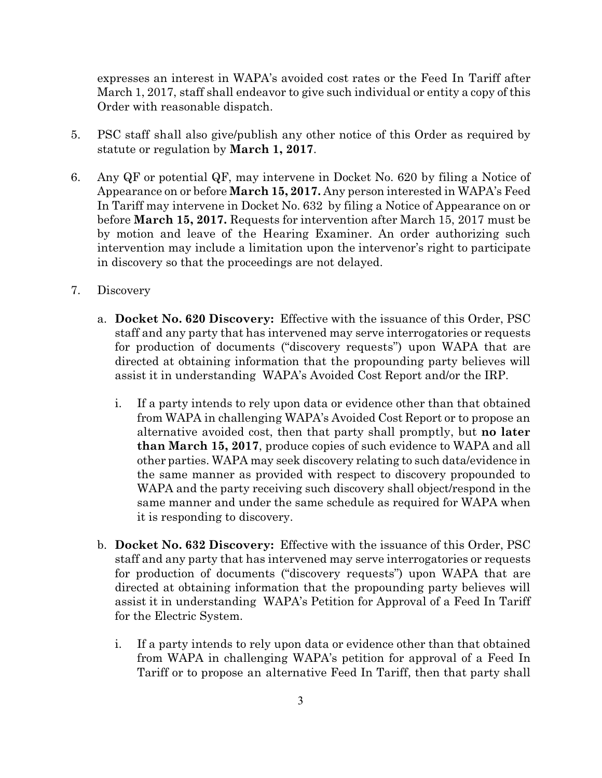expresses an interest in WAPA's avoided cost rates or the Feed In Tariff after March 1, 2017, staff shall endeavor to give such individual or entity a copy of this Order with reasonable dispatch.

- 5. PSC staff shall also give/publish any other notice of this Order as required by statute or regulation by **March 1, 2017**.
- 6. Any QF or potential QF, may intervene in Docket No. 620 by filing a Notice of Appearance on or before **March 15, 2017.** Any person interested in WAPA's Feed In Tariff may intervene in Docket No. 632 by filing a Notice of Appearance on or before **March 15, 2017.** Requests for intervention after March 15, 2017 must be by motion and leave of the Hearing Examiner. An order authorizing such intervention may include a limitation upon the intervenor's right to participate in discovery so that the proceedings are not delayed.
- 7. Discovery
	- a. **Docket No. 620 Discovery:** Effective with the issuance of this Order, PSC staff and any party that has intervened may serve interrogatories or requests for production of documents ("discovery requests") upon WAPA that are directed at obtaining information that the propounding party believes will assist it in understanding WAPA's Avoided Cost Report and/or the IRP.
		- i. If a party intends to rely upon data or evidence other than that obtained from WAPA in challenging WAPA's Avoided Cost Report or to propose an alternative avoided cost, then that party shall promptly, but **no later than March 15, 2017**, produce copies of such evidence to WAPA and all other parties. WAPA may seek discovery relating to such data/evidence in the same manner as provided with respect to discovery propounded to WAPA and the party receiving such discovery shall object/respond in the same manner and under the same schedule as required for WAPA when it is responding to discovery.
	- b. **Docket No. 632 Discovery:** Effective with the issuance of this Order, PSC staff and any party that has intervened may serve interrogatories or requests for production of documents ("discovery requests") upon WAPA that are directed at obtaining information that the propounding party believes will assist it in understanding WAPA's Petition for Approval of a Feed In Tariff for the Electric System.
		- i. If a party intends to rely upon data or evidence other than that obtained from WAPA in challenging WAPA's petition for approval of a Feed In Tariff or to propose an alternative Feed In Tariff, then that party shall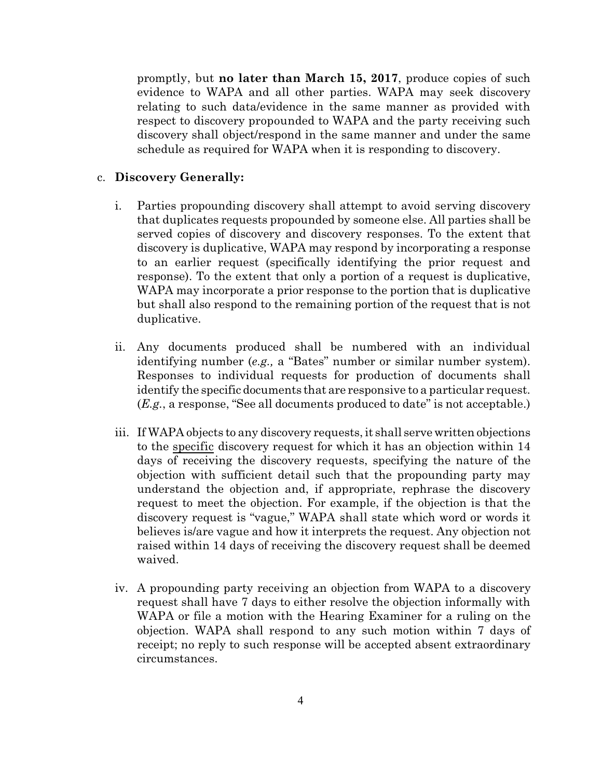promptly, but **no later than March 15, 2017**, produce copies of such evidence to WAPA and all other parties. WAPA may seek discovery relating to such data/evidence in the same manner as provided with respect to discovery propounded to WAPA and the party receiving such discovery shall object/respond in the same manner and under the same schedule as required for WAPA when it is responding to discovery.

## c. **Discovery Generally:**

- i. Parties propounding discovery shall attempt to avoid serving discovery that duplicates requests propounded by someone else. All parties shall be served copies of discovery and discovery responses. To the extent that discovery is duplicative, WAPA may respond by incorporating a response to an earlier request (specifically identifying the prior request and response). To the extent that only a portion of a request is duplicative, WAPA may incorporate a prior response to the portion that is duplicative but shall also respond to the remaining portion of the request that is not duplicative.
- ii. Any documents produced shall be numbered with an individual identifying number (*e.g.,* a "Bates" number or similar number system). Responses to individual requests for production of documents shall identify the specific documents that are responsive to a particular request. (*E.g.*, a response, "See all documents produced to date" is not acceptable.)
- iii. If WAPA objects to any discovery requests, it shall serve written objections to the specific discovery request for which it has an objection within 14 days of receiving the discovery requests, specifying the nature of the objection with sufficient detail such that the propounding party may understand the objection and, if appropriate, rephrase the discovery request to meet the objection. For example, if the objection is that the discovery request is "vague," WAPA shall state which word or words it believes is/are vague and how it interprets the request. Any objection not raised within 14 days of receiving the discovery request shall be deemed waived.
- iv. A propounding party receiving an objection from WAPA to a discovery request shall have 7 days to either resolve the objection informally with WAPA or file a motion with the Hearing Examiner for a ruling on the objection. WAPA shall respond to any such motion within 7 days of receipt; no reply to such response will be accepted absent extraordinary circumstances.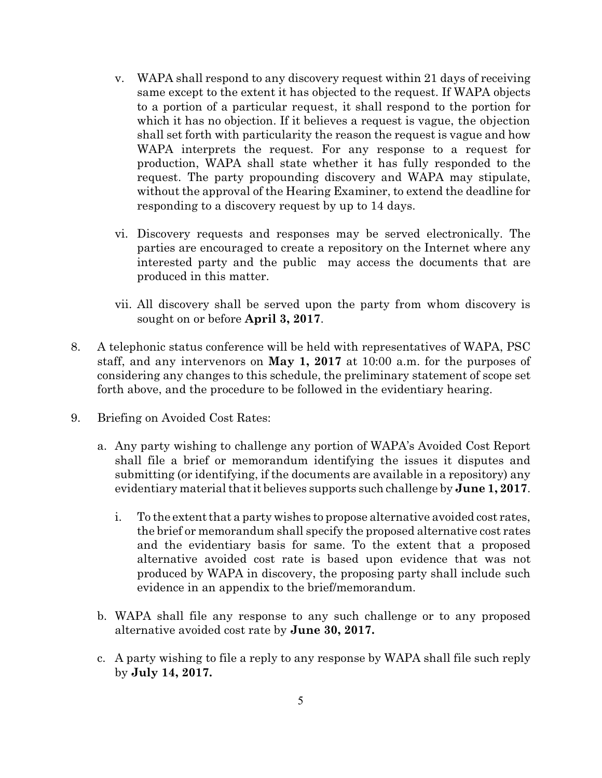- v. WAPA shall respond to any discovery request within 21 days of receiving same except to the extent it has objected to the request. If WAPA objects to a portion of a particular request, it shall respond to the portion for which it has no objection. If it believes a request is vague, the objection shall set forth with particularity the reason the request is vague and how WAPA interprets the request. For any response to a request for production, WAPA shall state whether it has fully responded to the request. The party propounding discovery and WAPA may stipulate, without the approval of the Hearing Examiner, to extend the deadline for responding to a discovery request by up to 14 days.
- vi. Discovery requests and responses may be served electronically. The parties are encouraged to create a repository on the Internet where any interested party and the public may access the documents that are produced in this matter.
- vii. All discovery shall be served upon the party from whom discovery is sought on or before **April 3, 2017**.
- 8. A telephonic status conference will be held with representatives of WAPA, PSC staff, and any intervenors on **May 1, 2017** at 10:00 a.m. for the purposes of considering any changes to this schedule, the preliminary statement of scope set forth above, and the procedure to be followed in the evidentiary hearing.
- 9. Briefing on Avoided Cost Rates:
	- a. Any party wishing to challenge any portion of WAPA's Avoided Cost Report shall file a brief or memorandum identifying the issues it disputes and submitting (or identifying, if the documents are available in a repository) any evidentiary material that it believes supports such challenge by **June** 1, 2017.
		- i. To the extent that a party wishes to propose alternative avoided cost rates, the brief or memorandum shall specify the proposed alternative cost rates and the evidentiary basis for same. To the extent that a proposed alternative avoided cost rate is based upon evidence that was not produced by WAPA in discovery, the proposing party shall include such evidence in an appendix to the brief/memorandum.
	- b. WAPA shall file any response to any such challenge or to any proposed alternative avoided cost rate by **June 30, 2017.**
	- c. A party wishing to file a reply to any response by WAPA shall file such reply by **July 14, 2017.**